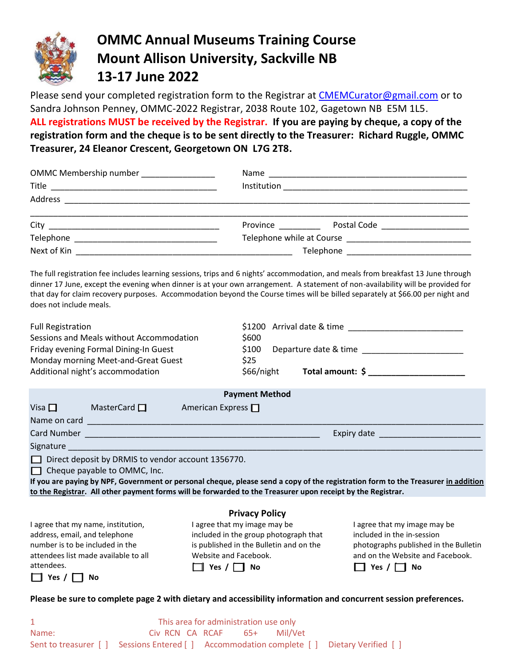

# **OMMC Annual Museums Training Course Mount Allison University, Sackville NB 13-17 June 2022**

Please send your completed registration form to the Registrar at **CMEMCurator@gmail.com** or to Sandra Johnson Penney, OMMC-2022 Registrar, 2038 Route 102, Gagetown NB E5M 1L5. **ALL registrations MUST be received by the Registrar. If you are paying by cheque, a copy of the registration form and the cheque is to be sent directly to the Treasurer: Richard Ruggle, OMMC Treasurer, 24 Eleanor Crescent, Georgetown ON L7G 2T8.**

| OMMC Membership number ________________                                                                                              |                                                                                                                                                                                                                                                                           |
|--------------------------------------------------------------------------------------------------------------------------------------|---------------------------------------------------------------------------------------------------------------------------------------------------------------------------------------------------------------------------------------------------------------------------|
|                                                                                                                                      |                                                                                                                                                                                                                                                                           |
| Address                                                                                                                              |                                                                                                                                                                                                                                                                           |
|                                                                                                                                      | Province <u>with the set of the set of the set of the set of the set of the set of the set of the set of the set of the set of the set of the set of the set of the set of the set of the set of the set of the set of the set o</u><br>Postal Code _____________________ |
|                                                                                                                                      |                                                                                                                                                                                                                                                                           |
| Next of Kin<br><u> 1989 - Johann John Stoff, deutscher Stoffen und der Stoffen und der Stoffen und der Stoffen und der Stoffen u</u> | Telephone ___________________________                                                                                                                                                                                                                                     |

The full registration fee includes learning sessions, trips and 6 nights' accommodation, and meals from breakfast 13 June through dinner 17 June, except the evening when dinner is at your own arrangement. A statement of non-availability will be provided for that day for claim recovery purposes. Accommodation beyond the Course times will be billed separately at \$66.00 per night and does not include meals.

| <b>Full Registration</b>            |                                                                                                                     |                                         |                       |  |  | $$1200$ Arrival date & time                                                                                                       |  |
|-------------------------------------|---------------------------------------------------------------------------------------------------------------------|-----------------------------------------|-----------------------|--|--|-----------------------------------------------------------------------------------------------------------------------------------|--|
|                                     | Sessions and Meals without Accommodation                                                                            |                                         | \$600                 |  |  |                                                                                                                                   |  |
|                                     | Friday evening Formal Dining-In Guest                                                                               |                                         | \$100                 |  |  | Departure date & time ________________________                                                                                    |  |
| Monday morning Meet-and-Great Guest |                                                                                                                     |                                         | \$25                  |  |  |                                                                                                                                   |  |
|                                     | Additional night's accommodation                                                                                    |                                         |                       |  |  |                                                                                                                                   |  |
|                                     |                                                                                                                     |                                         | <b>Payment Method</b> |  |  |                                                                                                                                   |  |
|                                     | Visa $\Box$ MasterCard $\Box$                                                                                       | <b>Express</b> American Express $\Box$  |                       |  |  |                                                                                                                                   |  |
|                                     |                                                                                                                     |                                         |                       |  |  |                                                                                                                                   |  |
|                                     |                                                                                                                     |                                         |                       |  |  | Expiry date _________________________                                                                                             |  |
|                                     | Signature experience and the state of the state of the state of the state of the state of the state of the state of |                                         |                       |  |  |                                                                                                                                   |  |
|                                     | $\Box$ Direct deposit by DRMIS to vendor account 1356770.                                                           |                                         |                       |  |  |                                                                                                                                   |  |
|                                     | $\Box$ Cheque payable to OMMC, Inc.                                                                                 |                                         |                       |  |  |                                                                                                                                   |  |
|                                     |                                                                                                                     |                                         |                       |  |  | If you are paying by NPF, Government or personal cheque, please send a copy of the registration form to the Treasurer in addition |  |
|                                     | to the Registrar. All other payment forms will be forwarded to the Treasurer upon receipt by the Registrar.         |                                         |                       |  |  |                                                                                                                                   |  |
|                                     |                                                                                                                     |                                         | <b>Privacy Policy</b> |  |  |                                                                                                                                   |  |
|                                     | I agree that my name, institution,                                                                                  | I agree that my image may be            |                       |  |  | I agree that my image may be                                                                                                      |  |
| address, email, and telephone       |                                                                                                                     | included in the group photograph that   |                       |  |  | included in the in-session                                                                                                        |  |
| number is to be included in the     |                                                                                                                     | is published in the Bulletin and on the |                       |  |  | photographs published in the Bulletin                                                                                             |  |
|                                     | attendees list made available to all                                                                                | Website and Facebook.                   |                       |  |  | and on the Website and Facebook.                                                                                                  |  |
| attendees.                          |                                                                                                                     | $\Box$ Yes / $\Box$ No.                 |                       |  |  | $\Box$ Yes / $\Box$ No.                                                                                                           |  |

| Ye. |  |  | Nο |
|-----|--|--|----|
|-----|--|--|----|

 $\Box$  Yes /  $\Box$  No

**Please be sure to complete page 2 with dietary and accessibility information and concurrent session preferences.**

 $\Box$  Yes /  $\Box$  No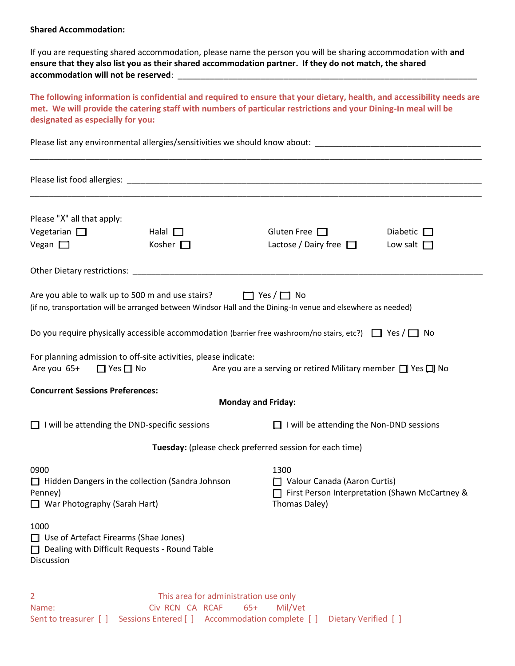#### **Shared Accommodation:**

If you are requesting shared accommodation, please name the person you will be sharing accommodation with **and ensure that they also list you as their shared accommodation partner. If they do not match, the shared accommodation will not be reserved**: \_\_\_\_\_\_\_\_\_\_\_\_\_\_\_\_\_\_\_\_\_\_\_\_\_\_\_\_\_\_\_\_\_\_\_\_\_\_\_\_\_\_\_\_\_\_\_\_\_\_\_\_\_\_\_\_\_\_\_\_\_\_\_\_\_

**The following information is confidential and required to ensure that your dietary, health, and accessibility needs are met. We will provide the catering staff with numbers of particular restrictions and your Dining-In meal will be designated as especially for you:** 

Please list any environmental allergies/sensitivities we should know about: \_\_\_\_\_\_\_\_\_\_\_\_\_\_\_\_\_\_\_\_\_\_\_\_\_\_\_\_\_\_\_\_\_\_

|                                                                                                                     | Please list food allergies: Law and the state of the state of the state of the state of the state of the state of the state of the state of the state of the state of the state of the state of the state of the state of the |                                                                                                                   |                                                                                       |  |  |
|---------------------------------------------------------------------------------------------------------------------|-------------------------------------------------------------------------------------------------------------------------------------------------------------------------------------------------------------------------------|-------------------------------------------------------------------------------------------------------------------|---------------------------------------------------------------------------------------|--|--|
| Please "X" all that apply:<br>Vegetarian $\Box$                                                                     | Halal $\Box$                                                                                                                                                                                                                  | Gluten Free $\Box$                                                                                                | Diabetic $\Box$                                                                       |  |  |
| Vegan $\Box$                                                                                                        | Kosher $\square$                                                                                                                                                                                                              | Lactose / Dairy free $\Box$                                                                                       | Low salt $\Box$                                                                       |  |  |
|                                                                                                                     |                                                                                                                                                                                                                               |                                                                                                                   |                                                                                       |  |  |
|                                                                                                                     | Are you able to walk up to 500 m and use stairs? $\Box$ Yes / $\Box$ No                                                                                                                                                       | (if no, transportation will be arranged between Windsor Hall and the Dining-In venue and elsewhere as needed)     |                                                                                       |  |  |
|                                                                                                                     |                                                                                                                                                                                                                               | Do you require physically accessible accommodation (barrier free washroom/no stairs, etc?) $\Box$ Yes / $\Box$ No |                                                                                       |  |  |
| Are you 65+<br>□ Yes □ No                                                                                           | For planning admission to off-site activities, please indicate:                                                                                                                                                               | Are you are a serving or retired Military member $\Box$ Yes $\Box$ No                                             |                                                                                       |  |  |
| <b>Concurrent Sessions Preferences:</b>                                                                             |                                                                                                                                                                                                                               | <b>Monday and Friday:</b>                                                                                         |                                                                                       |  |  |
| $\Box$ I will be attending the DND-specific sessions                                                                |                                                                                                                                                                                                                               | $\Box$ I will be attending the Non-DND sessions                                                                   |                                                                                       |  |  |
|                                                                                                                     |                                                                                                                                                                                                                               | Tuesday: (please check preferred session for each time)                                                           |                                                                                       |  |  |
| 0900<br>$\Box$ Hidden Dangers in the collection (Sandra Johnson<br>Penney)<br>$\Box$ War Photography (Sarah Hart)   |                                                                                                                                                                                                                               | 1300<br>Thomas Daley)                                                                                             | $\Box$ Valour Canada (Aaron Curtis)<br>First Person Interpretation (Shawn McCartney & |  |  |
| 1000<br>Use of Artefact Firearms (Shae Jones)<br>Dealing with Difficult Requests - Round Table<br><b>Discussion</b> |                                                                                                                                                                                                                               |                                                                                                                   |                                                                                       |  |  |
| $\overline{2}$<br>Name:<br>Sent to treasurer [ ]                                                                    | This area for administration use only<br>Civ RCN CA RCAF<br>Sessions Entered [ ] Accommodation complete [ ]                                                                                                                   | $65+$<br>Mil/Vet<br>Dietary Verified [ ]                                                                          |                                                                                       |  |  |